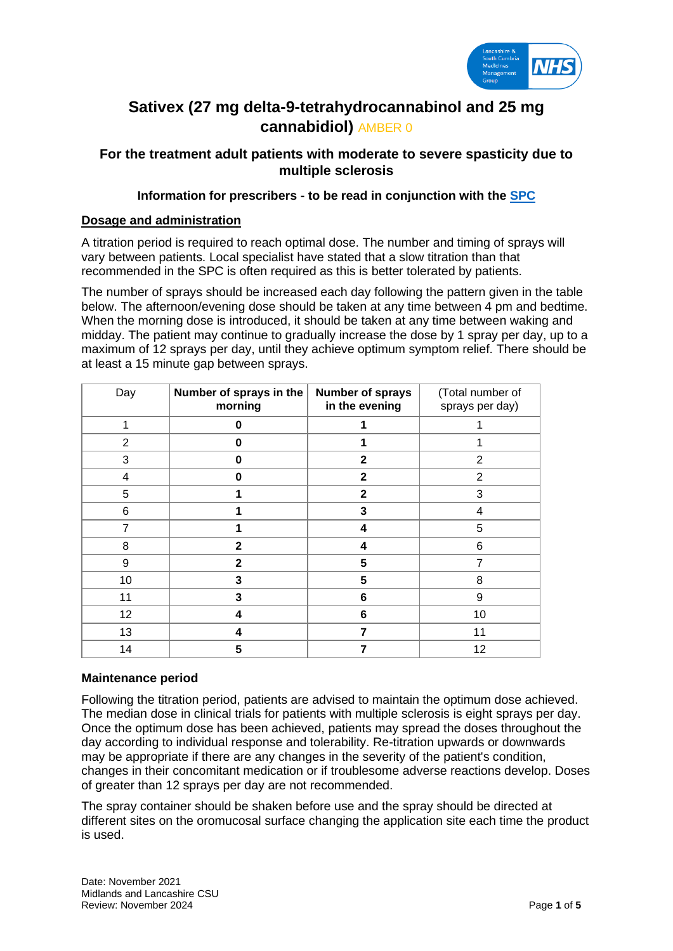

# **Sativex (27 mg delta-9-tetrahydrocannabinol and 25 mg cannabidiol)** AMBER 0

# **For the treatment adult patients with moderate to severe spasticity due to multiple sclerosis**

### **Information for prescribers - to be read in conjunction with the [SPC](https://www.medicines.org.uk/emc/product/602)**

### **Dosage and administration**

A titration period is required to reach optimal dose. The number and timing of sprays will vary between patients. Local specialist have stated that a slow titration than that recommended in the SPC is often required as this is better tolerated by patients.

The number of sprays should be increased each day following the pattern given in the table below. The afternoon/evening dose should be taken at any time between 4 pm and bedtime. When the morning dose is introduced, it should be taken at any time between waking and midday. The patient may continue to gradually increase the dose by 1 spray per day, up to a maximum of 12 sprays per day, until they achieve optimum symptom relief. There should be at least a 15 minute gap between sprays.

| Day | Number of sprays in the<br>morning | Number of sprays<br>in the evening | (Total number of<br>sprays per day) |
|-----|------------------------------------|------------------------------------|-------------------------------------|
| 1   | 0                                  |                                    |                                     |
| 2   | O                                  |                                    |                                     |
| 3   | 0                                  | $\mathbf{2}$                       | 2                                   |
| 4   | O                                  | $\mathbf{2}$                       | $\overline{2}$                      |
| 5   |                                    | $\mathbf{2}$                       | 3                                   |
| 6   |                                    | 3                                  | $\overline{4}$                      |
| 7   |                                    | 4                                  | 5                                   |
| 8   | $\mathbf{2}$                       | 4                                  | 6                                   |
| 9   | $\mathbf{2}$                       | 5                                  | $\overline{7}$                      |
| 10  | 3                                  | 5                                  | 8                                   |
| 11  | 3                                  | 6                                  | 9                                   |
| 12  | 4                                  | 6                                  | 10                                  |
| 13  | 4                                  |                                    | 11                                  |
| 14  | 5                                  |                                    | 12                                  |

### **Maintenance period**

Following the titration period, patients are advised to maintain the optimum dose achieved. The median dose in clinical trials for patients with multiple sclerosis is eight sprays per day. Once the optimum dose has been achieved, patients may spread the doses throughout the day according to individual response and tolerability. Re-titration upwards or downwards may be appropriate if there are any changes in the severity of the patient's condition, changes in their concomitant medication or if troublesome adverse reactions develop. Doses of greater than 12 sprays per day are not recommended.

The spray container should be shaken before use and the spray should be directed at different sites on the oromucosal surface changing the application site each time the product is used.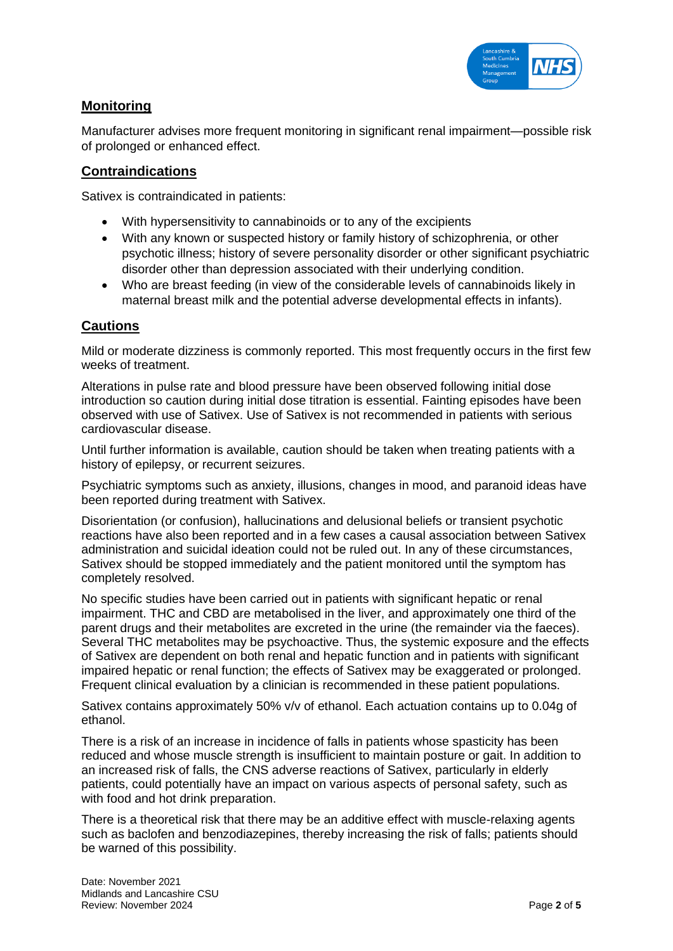

# **Monitoring**

Manufacturer advises more frequent monitoring in significant renal impairment—possible risk of prolonged or enhanced effect.

# **Contraindications**

Sativex is contraindicated in patients:

- With hypersensitivity to cannabinoids or to any of the excipients
- With any known or suspected history or family history of schizophrenia, or other psychotic illness; history of severe personality disorder or other significant psychiatric disorder other than depression associated with their underlying condition.
- Who are breast feeding (in view of the considerable levels of cannabinoids likely in maternal breast milk and the potential adverse developmental effects in infants).

# **Cautions**

Mild or moderate dizziness is commonly reported. This most frequently occurs in the first few weeks of treatment.

Alterations in pulse rate and blood pressure have been observed following initial dose introduction so caution during initial dose titration is essential. Fainting episodes have been observed with use of Sativex. Use of Sativex is not recommended in patients with serious cardiovascular disease.

Until further information is available, caution should be taken when treating patients with a history of epilepsy, or recurrent seizures.

Psychiatric symptoms such as anxiety, illusions, changes in mood, and paranoid ideas have been reported during treatment with Sativex.

Disorientation (or confusion), hallucinations and delusional beliefs or transient psychotic reactions have also been reported and in a few cases a causal association between Sativex administration and suicidal ideation could not be ruled out. In any of these circumstances, Sativex should be stopped immediately and the patient monitored until the symptom has completely resolved.

No specific studies have been carried out in patients with significant hepatic or renal impairment. THC and CBD are metabolised in the liver, and approximately one third of the parent drugs and their metabolites are excreted in the urine (the remainder via the faeces). Several THC metabolites may be psychoactive. Thus, the systemic exposure and the effects of Sativex are dependent on both renal and hepatic function and in patients with significant impaired hepatic or renal function; the effects of Sativex may be exaggerated or prolonged. Frequent clinical evaluation by a clinician is recommended in these patient populations.

Sativex contains approximately 50% v/v of ethanol. Each actuation contains up to 0.04g of ethanol.

There is a risk of an increase in incidence of falls in patients whose spasticity has been reduced and whose muscle strength is insufficient to maintain posture or gait. In addition to an increased risk of falls, the CNS adverse reactions of Sativex, particularly in elderly patients, could potentially have an impact on various aspects of personal safety, such as with food and hot drink preparation.

There is a theoretical risk that there may be an additive effect with muscle-relaxing agents such as baclofen and benzodiazepines, thereby increasing the risk of falls; patients should be warned of this possibility.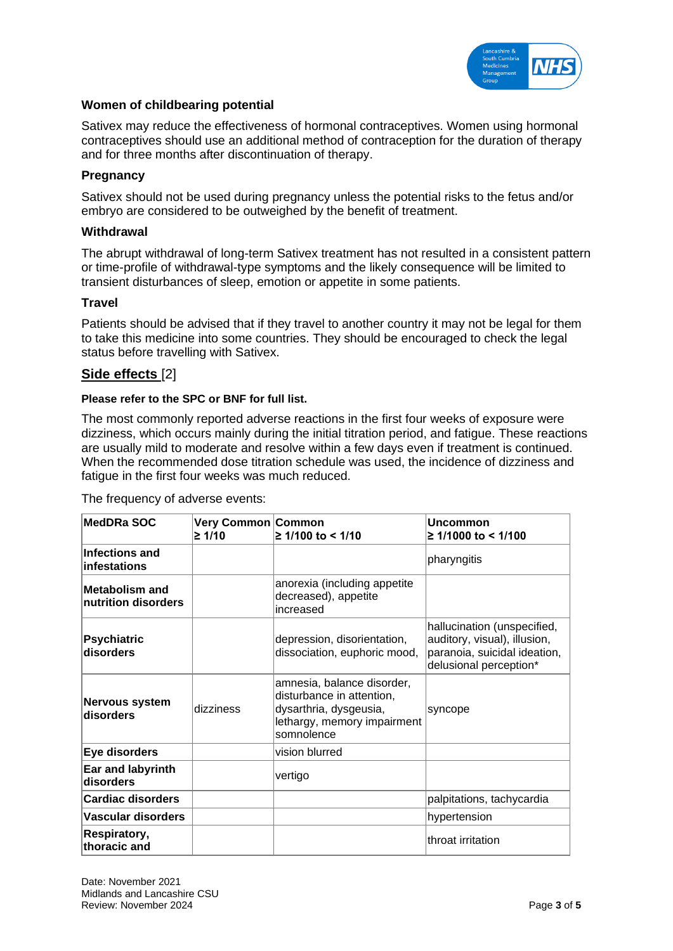

### **Women of childbearing potential**

Sativex may reduce the effectiveness of hormonal contraceptives. Women using hormonal contraceptives should use an additional method of contraception for the duration of therapy and for three months after discontinuation of therapy.

#### **Pregnancy**

Sativex should not be used during pregnancy unless the potential risks to the fetus and/or embryo are considered to be outweighed by the benefit of treatment.

#### **Withdrawal**

The abrupt withdrawal of long-term Sativex treatment has not resulted in a consistent pattern or time-profile of withdrawal-type symptoms and the likely consequence will be limited to transient disturbances of sleep, emotion or appetite in some patients.

#### **Travel**

Patients should be advised that if they travel to another country it may not be legal for them to take this medicine into some countries. They should be encouraged to check the legal status before travelling with Sativex.

## **Side effects** [2]

#### **Please refer to the SPC or BNF for full list.**

The most commonly reported adverse reactions in the first four weeks of exposure were dizziness, which occurs mainly during the initial titration period, and fatigue. These reactions are usually mild to moderate and resolve within a few days even if treatment is continued. When the recommended dose titration schedule was used, the incidence of dizziness and fatigue in the first four weeks was much reduced.

The frequency of adverse events:

| <b>MedDRa SOC</b>                            | Very Common Common<br>≥ 1/10 | 2 1/100 to < 1/10                                                                                                              | <b>Uncommon</b><br>$≥ 1/1000$ to < 1/100                                                                              |
|----------------------------------------------|------------------------------|--------------------------------------------------------------------------------------------------------------------------------|-----------------------------------------------------------------------------------------------------------------------|
| Infections and<br>infestations               |                              |                                                                                                                                | pharyngitis                                                                                                           |
| <b>Metabolism and</b><br>nutrition disorders |                              | anorexia (including appetite<br>decreased), appetite<br>increased                                                              |                                                                                                                       |
| <b>Psychiatric</b><br>disorders              |                              | depression, disorientation,<br>dissociation, euphoric mood,                                                                    | hallucination (unspecified,<br>auditory, visual), illusion,<br>paranoia, suicidal ideation,<br>delusional perception* |
| <b>Nervous system</b><br>disorders           | dizziness                    | amnesia, balance disorder,<br>disturbance in attention,<br>dysarthria, dysgeusia,<br>lethargy, memory impairment<br>somnolence | syncope                                                                                                               |
| Eye disorders                                |                              | vision blurred                                                                                                                 |                                                                                                                       |
| Ear and labyrinth<br>disorders               |                              | vertigo                                                                                                                        |                                                                                                                       |
| <b>Cardiac disorders</b>                     |                              |                                                                                                                                | palpitations, tachycardia                                                                                             |
| Vascular disorders                           |                              |                                                                                                                                | hypertension                                                                                                          |
| Respiratory,<br>thoracic and                 |                              |                                                                                                                                | throat irritation                                                                                                     |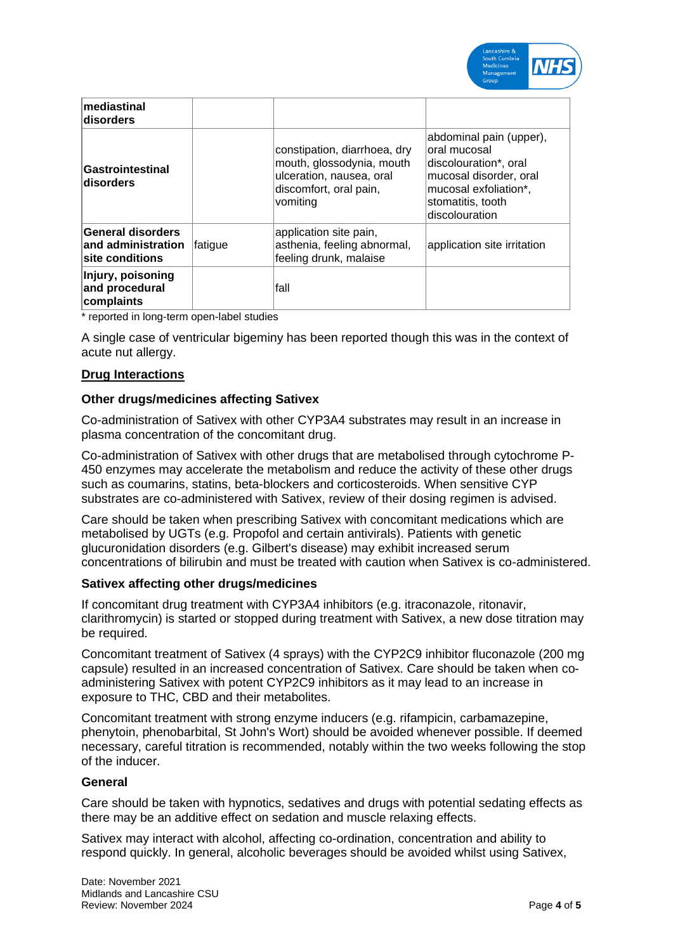

| mediastinal<br>disorders                                   |          |                                                                                                                             |                                                                                                                                                             |
|------------------------------------------------------------|----------|-----------------------------------------------------------------------------------------------------------------------------|-------------------------------------------------------------------------------------------------------------------------------------------------------------|
| Gastrointestinal<br>disorders                              |          | constipation, diarrhoea, dry<br>mouth, glossodynia, mouth<br>ulceration, nausea, oral<br>discomfort, oral pain,<br>vomiting | abdominal pain (upper),<br>loral mucosal<br>discolouration*, oral<br>mucosal disorder, oral<br>mucosal exfoliation*,<br>stomatitis, tooth<br>discolouration |
| General disorders<br>and administration<br>site conditions | ∣fatique | application site pain,<br>asthenia, feeling abnormal,<br>feeling drunk, malaise                                             | application site irritation                                                                                                                                 |
| Injury, poisoning<br>and procedural<br>complaints          |          | lfall                                                                                                                       |                                                                                                                                                             |

\* reported in long-term open-label studies

A single case of ventricular bigeminy has been reported though this was in the context of acute nut allergy.

#### **Drug Interactions**

#### **Other drugs/medicines affecting Sativex**

Co-administration of Sativex with other CYP3A4 substrates may result in an increase in plasma concentration of the concomitant drug.

Co-administration of Sativex with other drugs that are metabolised through cytochrome P-450 enzymes may accelerate the metabolism and reduce the activity of these other drugs such as coumarins, statins, beta-blockers and corticosteroids. When sensitive CYP substrates are co-administered with Sativex, review of their dosing regimen is advised.

Care should be taken when prescribing Sativex with concomitant medications which are metabolised by UGTs (e.g. Propofol and certain antivirals). Patients with genetic glucuronidation disorders (e.g. Gilbert's disease) may exhibit increased serum concentrations of bilirubin and must be treated with caution when Sativex is co-administered.

#### **Sativex affecting other drugs/medicines**

If concomitant drug treatment with CYP3A4 inhibitors (e.g. itraconazole, ritonavir, clarithromycin) is started or stopped during treatment with Sativex, a new dose titration may be required.

Concomitant treatment of Sativex (4 sprays) with the CYP2C9 inhibitor fluconazole (200 mg capsule) resulted in an increased concentration of Sativex. Care should be taken when coadministering Sativex with potent CYP2C9 inhibitors as it may lead to an increase in exposure to THC, CBD and their metabolites.

Concomitant treatment with strong enzyme inducers (e.g. rifampicin, carbamazepine, phenytoin, phenobarbital, St John's Wort) should be avoided whenever possible. If deemed necessary, careful titration is recommended, notably within the two weeks following the stop of the inducer.

#### **General**

Care should be taken with hypnotics, sedatives and drugs with potential sedating effects as there may be an additive effect on sedation and muscle relaxing effects.

Sativex may interact with alcohol, affecting co-ordination, concentration and ability to respond quickly. In general, alcoholic beverages should be avoided whilst using Sativex,